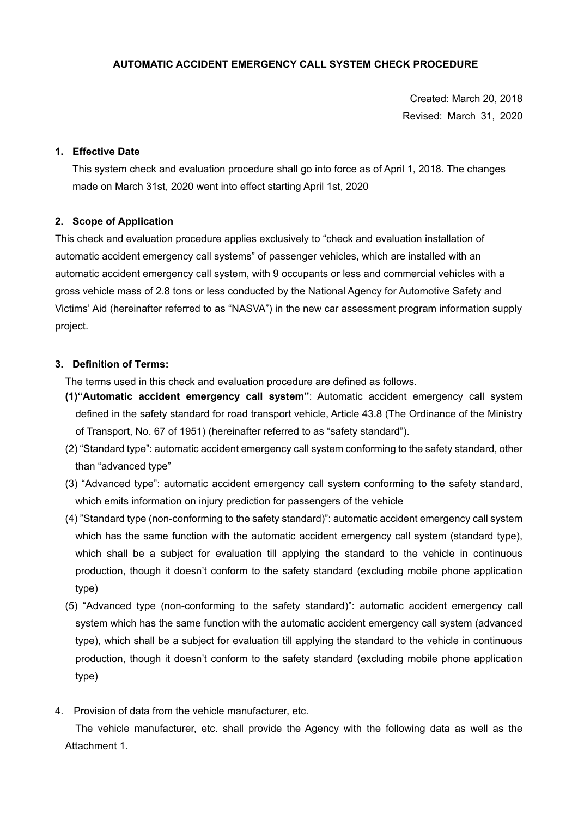# **AUTOMATIC ACCIDENT EMERGENCY CALL SYSTEM CHECK PROCEDURE**

Created: March 20, 2018 Revised: March 31, 2020

## **1. Effective Date**

This system check and evaluation procedure shall go into force as of April 1, 2018. The changes made on March 31st, 2020 went into effect starting April 1st, 2020

## **2. Scope of Application**

This check and evaluation procedure applies exclusively to "check and evaluation installation of automatic accident emergency call systems" of passenger vehicles, which are installed with an automatic accident emergency call system, with 9 occupants or less and commercial vehicles with a gross vehicle mass of 2.8 tons or less conducted by the National Agency for Automotive Safety and Victims' Aid (hereinafter referred to as "NASVA") in the new car assessment program information supply project.

## **3. Definition of Terms:**

The terms used in this check and evaluation procedure are defined as follows.

- **(1)"Automatic accident emergency call system"**: Automatic accident emergency call system defined in the safety standard for road transport vehicle, Article 43.8 (The Ordinance of the Ministry of Transport, No. 67 of 1951) (hereinafter referred to as "safety standard").
- (2) "Standard type": automatic accident emergency call system conforming to the safety standard, other than "advanced type"
- (3) "Advanced type": automatic accident emergency call system conforming to the safety standard, which emits information on injury prediction for passengers of the vehicle
- (4) "Standard type (non-conforming to the safety standard)": automatic accident emergency call system which has the same function with the automatic accident emergency call system (standard type), which shall be a subject for evaluation till applying the standard to the vehicle in continuous production, though it doesn't conform to the safety standard (excluding mobile phone application type)
- (5) "Advanced type (non-conforming to the safety standard)": automatic accident emergency call system which has the same function with the automatic accident emergency call system (advanced type), which shall be a subject for evaluation till applying the standard to the vehicle in continuous production, though it doesn't conform to the safety standard (excluding mobile phone application type)
- 4. Provision of data from the vehicle manufacturer, etc.

The vehicle manufacturer, etc. shall provide the Agency with the following data as well as the Attachment 1.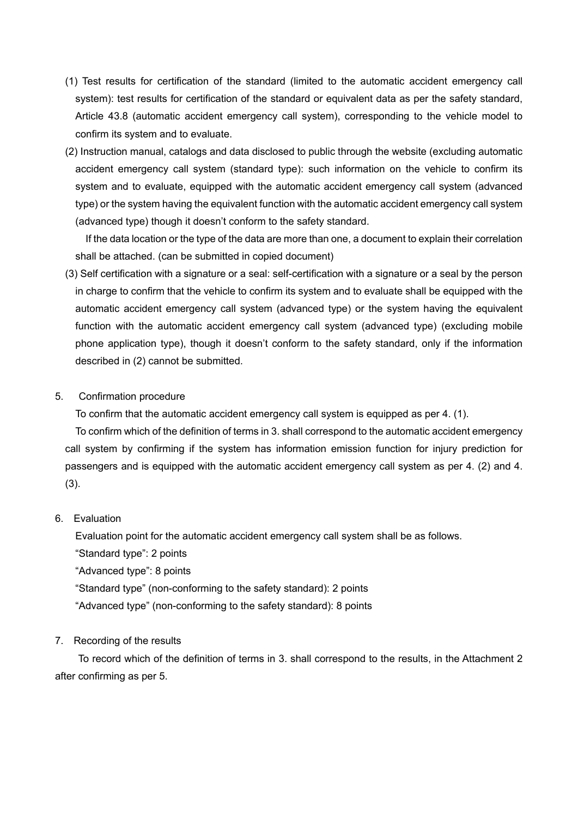- (1) Test results for certification of the standard (limited to the automatic accident emergency call system): test results for certification of the standard or equivalent data as per the safety standard, Article 43.8 (automatic accident emergency call system), corresponding to the vehicle model to confirm its system and to evaluate.
- (2) Instruction manual, catalogs and data disclosed to public through the website (excluding automatic accident emergency call system (standard type): such information on the vehicle to confirm its system and to evaluate, equipped with the automatic accident emergency call system (advanced type) or the system having the equivalent function with the automatic accident emergency call system (advanced type) though it doesn't conform to the safety standard.

If the data location or the type of the data are more than one, a document to explain their correlation shall be attached. (can be submitted in copied document)

(3) Self certification with a signature or a seal: self-certification with a signature or a seal by the person in charge to confirm that the vehicle to confirm its system and to evaluate shall be equipped with the automatic accident emergency call system (advanced type) or the system having the equivalent function with the automatic accident emergency call system (advanced type) (excluding mobile phone application type), though it doesn't conform to the safety standard, only if the information described in (2) cannot be submitted.

## 5. Confirmation procedure

To confirm that the automatic accident emergency call system is equipped as per 4. (1).

To confirm which of the definition of terms in 3. shall correspond to the automatic accident emergency call system by confirming if the system has information emission function for injury prediction for passengers and is equipped with the automatic accident emergency call system as per 4. (2) and 4. (3).

#### 6. Evaluation

Evaluation point for the automatic accident emergency call system shall be as follows.

"Standard type": 2 points

"Advanced type": 8 points

"Standard type" (non-conforming to the safety standard): 2 points

"Advanced type" (non-conforming to the safety standard): 8 points

#### 7. Recording of the results

To record which of the definition of terms in 3. shall correspond to the results, in the Attachment 2 after confirming as per 5.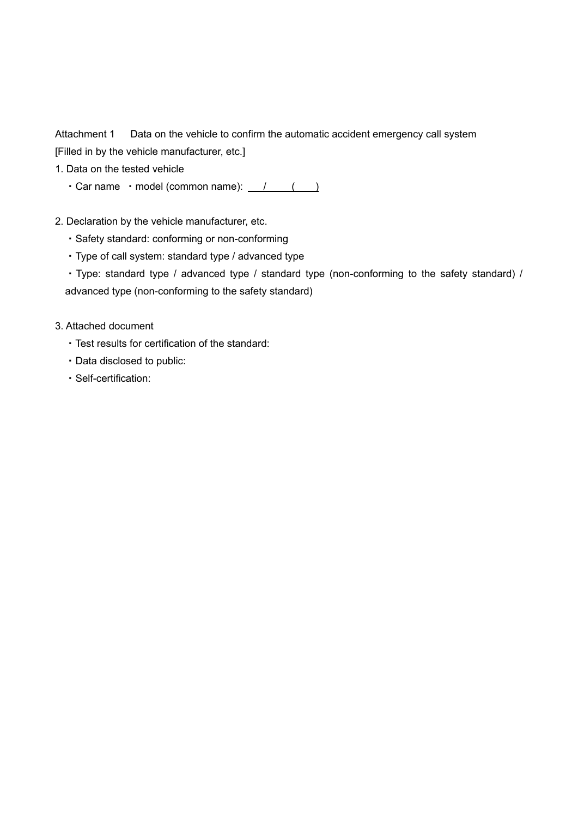Attachment 1 Data on the vehicle to confirm the automatic accident emergency call system [Filled in by the vehicle manufacturer, etc.]

- 1. Data on the tested vehicle
	- Car name model (common name):  $\sqrt{2}$  ( )
- 2. Declaration by the vehicle manufacturer, etc.
	- ・Safety standard: conforming or non-conforming
	- ・Type of call system: standard type / advanced type
	- ・Type: standard type / advanced type / standard type (non-conforming to the safety standard) / advanced type (non-conforming to the safety standard)
- 3. Attached document
	- ・Test results for certification of the standard:
	- ・Data disclosed to public:
	- ・Self-certification: